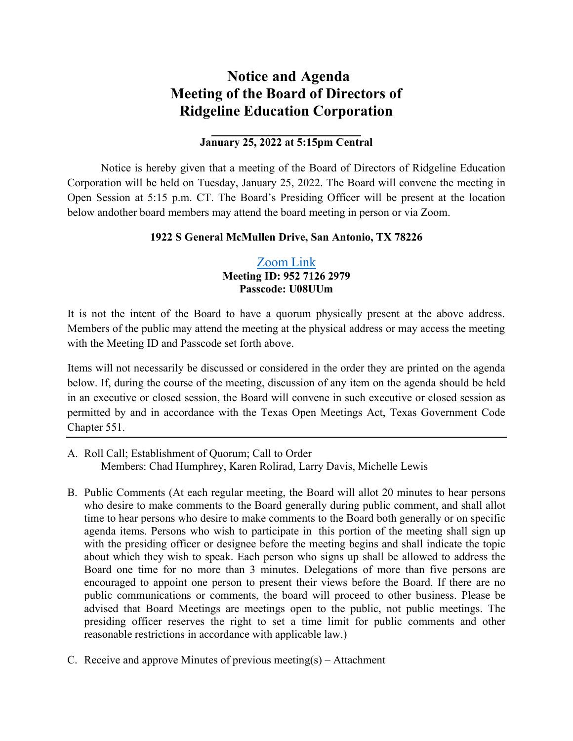## **Notice and Agenda Meeting of the Board of Directors of Ridgeline Education Corporation**

## **January 25, 2022 at 5:15pm Central**

Notice is hereby given that a meeting of the Board of Directors of Ridgeline Education Corporation will be held on Tuesday, January 25, 2022. The Board will convene the meeting in Open Session at 5:15 p.m. CT. The Board's Presiding Officer will be present at the location below and other board members may attend the board meeting in person or via Zoom.

## **1922 S General McMullen Drive, San Antonio, TX 78226**

## [Zoom](https://nam04.safelinks.protection.outlook.com/?url=https%3A%2F%2Fzoom.us%2Fj%2F95271262979%3Fpwd%3DdlMwMUdYeEg3R0ptRlVMZmcwQnovQT09&data=04%7C01%7Caholmes%40llac.org%7Cf8124fb20b1144bf983508d9db840f1d%7Cc33f6d28342542a78827d21f10bb2e83%7C0%7C0%7C637782182497852468%7CUnknown%7CTWFpbGZsb3d8eyJWIjoiMC4wLjAwMDAiLCJQIjoiV2luMzIiLCJBTiI6Ik1haWwiLCJXVCI6Mn0%3D%7C3000&sdata=tvM9SRtkDZ1GtIL%2B7ow%2BPXdMcjoPsHhPnf5h9oD5fnE%3D&reserved=0) Link **Meeting ID: 952 7126 2979 Passcode: U08UUm**

It is not the intent of the Board to have a quorum physically present at the above address. Members of the public may attend the meeting at the physical address or may access the meeting with the Meeting ID and Passcode set forth above.

Items will not necessarily be discussed or considered in the order they are printed on the agenda below. If, during the course of the meeting, discussion of any item on the agenda should be held in an executive or closed session, the Board will convene in such executive or closed session as permitted by and in accordance with the Texas Open Meetings Act, Texas Government Code Chapter 551.

- A. Roll Call; Establishment of Quorum; Call to Order Members: Chad Humphrey, Karen Rolirad, Larry Davis, Michelle Lewis
- B. Public Comments (At each regular meeting, the Board will allot 20 minutes to hear persons who desire to make comments to the Board generally during public comment, and shall allot time to hear persons who desire to make comments to the Board both generally or on specific agenda items. Persons who wish to participate in this portion of the meeting shall sign up with the presiding officer or designee before the meeting begins and shall indicate the topic about which they wish to speak. Each person who signs up shall be allowed to address the Board one time for no more than 3 minutes. Delegations of more than five persons are encouraged to appoint one person to present their views before the Board. If there are no public communications or comments, the board will proceed to other business. Please be advised that Board Meetings are meetings open to the public, not public meetings. The presiding officer reserves the right to set a time limit for public comments and other reasonable restrictions in accordance with applicable law.)
- C. Receive and approve Minutes of previous meeting(s) Attachment